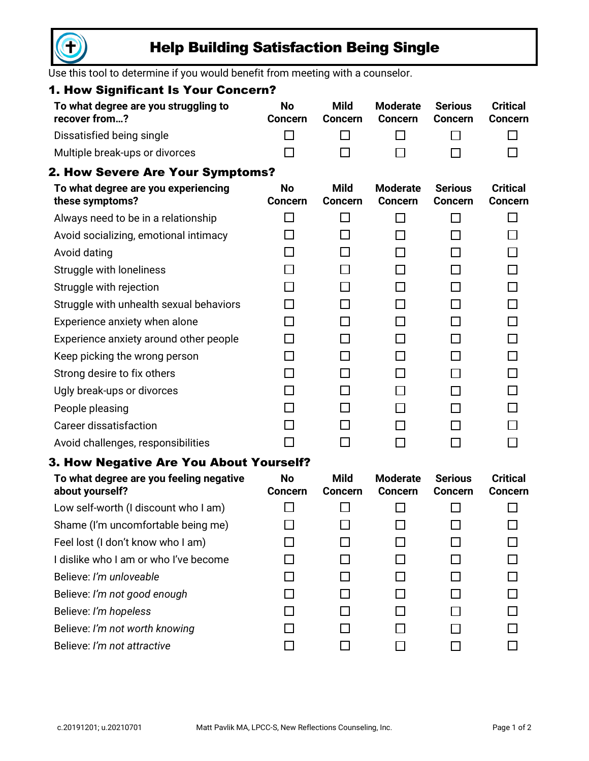

# Help Building Satisfaction Being Single

Use this tool to determine if you would benefit from meeting with a counselor.

## 1. How Significant Is Your Concern?

| To what degree are you struggling to<br>recover from? | No<br><b>Concern</b> | Mild<br><b>Concern</b> | <b>Moderate</b><br><b>Concern</b> | Serious<br><b>Concern</b> | <b>Critical</b><br><b>Concern</b> |
|-------------------------------------------------------|----------------------|------------------------|-----------------------------------|---------------------------|-----------------------------------|
| Dissatisfied being single                             |                      | $\mathbf{1}$           | $\perp$                           |                           |                                   |
| Multiple break-ups or divorces                        |                      |                        |                                   |                           |                                   |

## 2. How Severe Are Your Symptoms?

| To what degree are you experiencing<br>these symptoms? | <b>No</b><br><b>Concern</b> | <b>Mild</b><br><b>Concern</b> | <b>Moderate</b><br><b>Concern</b> | <b>Serious</b><br><b>Concern</b> | <b>Critical</b><br><b>Concern</b> |
|--------------------------------------------------------|-----------------------------|-------------------------------|-----------------------------------|----------------------------------|-----------------------------------|
| Always need to be in a relationship                    |                             |                               |                                   |                                  |                                   |
| Avoid socializing, emotional intimacy                  |                             |                               |                                   |                                  |                                   |
| Avoid dating                                           |                             |                               |                                   |                                  |                                   |
| Struggle with loneliness                               |                             |                               |                                   |                                  |                                   |
| Struggle with rejection                                |                             |                               |                                   |                                  |                                   |
| Struggle with unhealth sexual behaviors                |                             |                               |                                   |                                  |                                   |
| Experience anxiety when alone                          |                             |                               |                                   |                                  |                                   |
| Experience anxiety around other people                 |                             |                               |                                   |                                  |                                   |
| Keep picking the wrong person                          |                             |                               |                                   |                                  |                                   |
| Strong desire to fix others                            |                             |                               |                                   |                                  |                                   |
| Ugly break-ups or divorces                             |                             |                               |                                   |                                  |                                   |
| People pleasing                                        |                             |                               |                                   |                                  |                                   |
| Career dissatisfaction                                 |                             |                               |                                   |                                  |                                   |
| Avoid challenges, responsibilities                     |                             |                               |                                   |                                  |                                   |

#### 3. How Negative Are You About Yourself?

| To what degree are you feeling negative<br>about yourself? | <b>No</b><br><b>Concern</b> | <b>Mild</b><br><b>Concern</b> | <b>Moderate</b><br><b>Concern</b> | <b>Serious</b><br><b>Concern</b> | <b>Critical</b><br><b>Concern</b> |
|------------------------------------------------------------|-----------------------------|-------------------------------|-----------------------------------|----------------------------------|-----------------------------------|
| Low self-worth (I discount who I am)                       |                             |                               |                                   |                                  |                                   |
| Shame (I'm uncomfortable being me)                         |                             |                               |                                   |                                  |                                   |
| Feel lost (I don't know who I am)                          |                             |                               |                                   |                                  |                                   |
| I dislike who I am or who I've become                      |                             |                               |                                   |                                  |                                   |
| Believe: I'm unloveable                                    |                             |                               |                                   |                                  |                                   |
| Believe: I'm not good enough                               |                             |                               |                                   |                                  |                                   |
| Believe: I'm hopeless                                      |                             |                               |                                   |                                  |                                   |
| Believe: I'm not worth knowing                             |                             |                               |                                   |                                  |                                   |
| Believe: I'm not attractive                                |                             |                               |                                   |                                  |                                   |